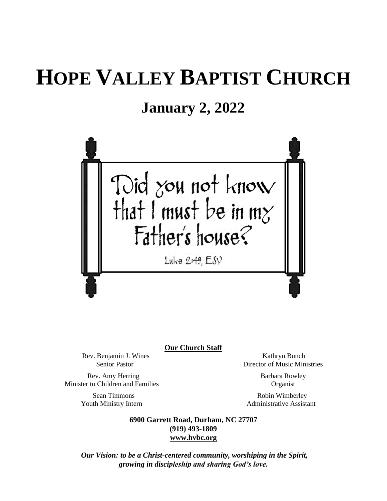# **HOPE VALLEY BAPTIST CHURCH**

## **January 2, 2022**



**Our Church Staff**

Rev. Benjamin J. Wines Kathryn Bunch<br>Senior Pastor Nusic Mines Elizabeth Christense Kathryn Bunch<br>Director of Music Min

Rev. Amy Herring Barbara Rowley Minister to Children and Families Organist

**Director of Music Ministries** 

Sean Timmons Robin Wimberley Youth Ministry Intern **Administrative Assistant** 

> **6900 Garrett Road, Durham, NC 27707 (919) 493-1809 [www.hvbc.org](https://nam02.safelinks.protection.outlook.com/?url=http%3A%2F%2Fwww.hvbc.org%2F&data=04%7C01%7Crobin%40hvbc.org%7Ca1947220efe048d45f2008d90f3f5013%7C19334143b857471a909f515a9e93cce3%7C0%7C0%7C637557586922368739%7CUnknown%7CTWFpbGZsb3d8eyJWIjoiMC4wLjAwMDAiLCJQIjoiV2luMzIiLCJBTiI6Ik1haWwiLCJXVCI6Mn0%3D%7C1000&sdata=vD8UY%2Ft%2Bw4fHfO%2FGyoDO3ShGm4jsX4L5zIVu36neNyk%3D&reserved=0)**

*Our Vision: to be a Christ-centered community, worshiping in the Spirit, growing in discipleship and sharing God's love.*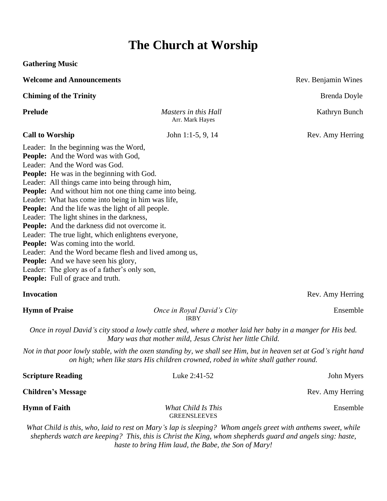## **The Church at Worship**

**Gathering Music**

| <b>Welcome and Announcements</b>                                                                                                                                                                                                                                                                                                                                                                                                                                                                                                                                                                                                                                                                                                                                                                          |                                                                                                                                                                                                                          | Rev. Benjamin Wines |
|-----------------------------------------------------------------------------------------------------------------------------------------------------------------------------------------------------------------------------------------------------------------------------------------------------------------------------------------------------------------------------------------------------------------------------------------------------------------------------------------------------------------------------------------------------------------------------------------------------------------------------------------------------------------------------------------------------------------------------------------------------------------------------------------------------------|--------------------------------------------------------------------------------------------------------------------------------------------------------------------------------------------------------------------------|---------------------|
| <b>Chiming of the Trinity</b>                                                                                                                                                                                                                                                                                                                                                                                                                                                                                                                                                                                                                                                                                                                                                                             |                                                                                                                                                                                                                          | Brenda Doyle        |
| <b>Prelude</b>                                                                                                                                                                                                                                                                                                                                                                                                                                                                                                                                                                                                                                                                                                                                                                                            | Masters in this Hall<br>Arr. Mark Hayes                                                                                                                                                                                  | Kathryn Bunch       |
| <b>Call to Worship</b>                                                                                                                                                                                                                                                                                                                                                                                                                                                                                                                                                                                                                                                                                                                                                                                    | John 1:1-5, 9, 14                                                                                                                                                                                                        | Rev. Amy Herring    |
| Leader: In the beginning was the Word,<br>People: And the Word was with God,<br>Leader: And the Word was God.<br><b>People:</b> He was in the beginning with God.<br>Leader: All things came into being through him,<br><b>People:</b> And without him not one thing came into being.<br>Leader: What has come into being in him was life,<br><b>People:</b> And the life was the light of all people.<br>Leader: The light shines in the darkness,<br>People: And the darkness did not overcome it.<br>Leader: The true light, which enlightens everyone,<br><b>People:</b> Was coming into the world.<br>Leader: And the Word became flesh and lived among us,<br><b>People:</b> And we have seen his glory,<br>Leader: The glory as of a father's only son,<br><b>People:</b> Full of grace and truth. |                                                                                                                                                                                                                          |                     |
| <b>Invocation</b>                                                                                                                                                                                                                                                                                                                                                                                                                                                                                                                                                                                                                                                                                                                                                                                         |                                                                                                                                                                                                                          | Rev. Amy Herring    |
| <b>Hymn of Praise</b>                                                                                                                                                                                                                                                                                                                                                                                                                                                                                                                                                                                                                                                                                                                                                                                     | Once in Royal David's City<br><b>IRBY</b>                                                                                                                                                                                | Ensemble            |
|                                                                                                                                                                                                                                                                                                                                                                                                                                                                                                                                                                                                                                                                                                                                                                                                           | Once in royal David's city stood a lowly cattle shed, where a mother laid her baby in a manger for His bed.<br>Mary was that mother mild, Jesus Christ her little Child.                                                 |                     |
|                                                                                                                                                                                                                                                                                                                                                                                                                                                                                                                                                                                                                                                                                                                                                                                                           | Not in that poor lowly stable, with the oxen standing by, we shall see Him, but in heaven set at God's right hand<br>on high; when like stars His children crowned, robed in white shall gather round.                   |                     |
| <b>Scripture Reading</b>                                                                                                                                                                                                                                                                                                                                                                                                                                                                                                                                                                                                                                                                                                                                                                                  | Luke 2:41-52                                                                                                                                                                                                             | John Myers          |
| <b>Children's Message</b>                                                                                                                                                                                                                                                                                                                                                                                                                                                                                                                                                                                                                                                                                                                                                                                 |                                                                                                                                                                                                                          | Rev. Amy Herring    |
| <b>Hymn of Faith</b>                                                                                                                                                                                                                                                                                                                                                                                                                                                                                                                                                                                                                                                                                                                                                                                      | What Child Is This<br><b>GREENSLEEVES</b>                                                                                                                                                                                | Ensemble            |
|                                                                                                                                                                                                                                                                                                                                                                                                                                                                                                                                                                                                                                                                                                                                                                                                           | What Child is this, who, laid to rest on Mary's lap is sleeping? Whom angels greet with anthems sweet, while<br>shepherds watch are keeping? This, this is Christ the King, whom shepherds guard and angels sing: haste, |                     |

*haste to bring Him laud, the Babe, the Son of Mary!*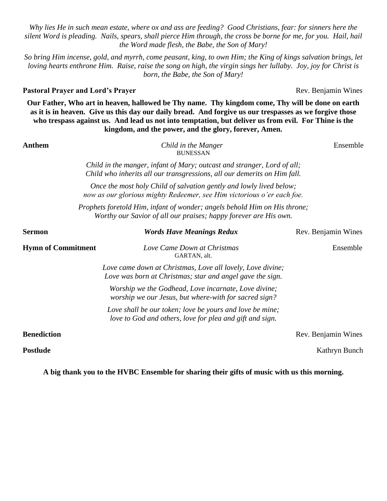*Why lies He in such mean estate, where ox and ass are feeding? Good Christians, fear: for sinners here the silent Word is pleading. Nails, spears, shall pierce Him through, the cross be borne for me, for you. Hail, hail the Word made flesh, the Babe, the Son of Mary!*

*So bring Him incense, gold, and myrrh, come peasant, king, to own Him; the King of kings salvation brings, let loving hearts enthrone Him. Raise, raise the song on high, the virgin sings her lullaby. Joy, joy for Christ is born, the Babe, the Son of Mary!*

### **Pastoral Prayer and Lord's Prayer Rev. Benjamin Wines Rev. Benjamin Wines**

**Our Father, Who art in heaven, hallowed be Thy name. Thy kingdom come, Thy will be done on earth as it is in heaven. Give us this day our daily bread. And forgive us our trespasses as we forgive those who trespass against us. And lead us not into temptation, but deliver us from evil. For Thine is the kingdom, and the power, and the glory, forever, Amen.**

#### **Anthem** *Child in the Manger*Ensemble BUNESSAN

*Child in the manger, infant of Mary; outcast and stranger, Lord of all; Child who inherits all our transgressions, all our demerits on Him fall.*

*Once the most holy Child of salvation gently and lowly lived below; now as our glorious mighty Redeemer, see Him victorious o'er each foe.*

*Prophets foretold Him, infant of wonder; angels behold Him on His throne; Worthy our Savior of all our praises; happy forever are His own.*

| Sermon                    | <b>Words Have Meanings Redux</b>                                                                                        | Rev. Benjamin Wines |
|---------------------------|-------------------------------------------------------------------------------------------------------------------------|---------------------|
| <b>Hymn of Commitment</b> | Love Came Down at Christmas<br>GARTAN, alt.                                                                             | Ensemble            |
|                           | Love came down at Christmas, Love all lovely, Love divine;<br>Love was born at Christmas; star and angel gave the sign. |                     |
|                           | Worship we the Godhead, Love incarnate, Love divine;<br>worship we our Jesus, but where-with for sacred sign?           |                     |
|                           | Love shall be our token; love be yours and love be mine;<br>love to God and others, love for plea and gift and sign.    |                     |
| <b>Benediction</b>        |                                                                                                                         | Rev. Benjamin Wines |

**Postlude Kathryn Bunch Kathryn Bunch Kathryn Bunch Kathryn Bunch Kathryn Bunch** 

**A big thank you to the HVBC Ensemble for sharing their gifts of music with us this morning.**